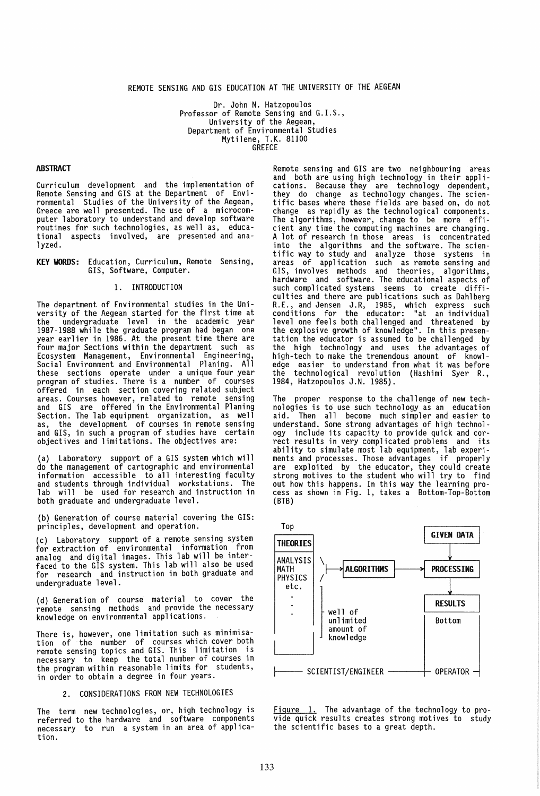## REMOTE SENSING AND GIS EDUCATION AT THE UNIVERSITY OF THE AEGEAN

Dr. John N. Hatzopoulos<br>Professor of Remote Sensing and G.I.S.,<br>University of the Aegean, Department of Environmental Studies Mytilene, T.K. 81100 GREECE

## **ABSTRACT**

Curriculum development and the implementation of Remote Sensing and GIS at the Department of Envi-Greece are well presented. The use of a microcomputer laboratory to understand and develop software routines for such technologies, as well as, educational aspects involved, are presented and analyzed.

KEY WORDS: Education, Curriculum, Remote Sensing, GIS, Software, Computer.

### 1. INTRODUCTION

The department of Environmental studies in the University of the Aegean started for the first time at 1987-1988 while the graduate program had began one year earlier in 1986. At the present time there are four major Sections within the department such as Ecosystem Management, Environmental Engineering, Social Environment and Environmental Planing. All these sections operate under a unique four year program of studies. There is a number of courses offered in each section covering related subject areas. Courses however, related to remote sensing<br>and GIS are offered in the Environmental Planing<br>Section. The lab equipment organization, as well<br>as, the development of courses in remote sensing as, the development of courses in remote sensing<br>and GIS, in such a program of studies have certain objectives and limitations. The objectives are:

(a) Laboratory support of a GIS system which will do the management of cartographic and environmental information accessible to all interesting faculty<br>and students through individual workstations. The lab will be used for research and instruction in both graduate and undergraduate level.

(b) Generation of course material covering the GIS: principles, development and operation.

(c) Laboratory support of a remote sensing system<br>for extraction of environmental information from analog and digital images. This lab will be interfaced to the GIS system. This lab will also be used for research and instruction in both graduate and undergraduate level.

(d) Generation of course material to cover the knowledge on environmental applications.

There is, however, one limitation such as minimisation of the number of courses which cover both remote sensing topics and GIS. This limitation is necessary to keep the total number of courses in the program within reasonable limits for students, in order to obtain a degree in four years.

#### 2. CONSIDERATIONS FROM NEW TECHNOLOGIES

The term new technologies, or, high technology is referred to the hardware and software components necessary to run a system in an area of application.

Remote sensing and GIS are two neighbouring areas<br>and both are using high technology in their applications. Because they are technology dependent, they do change as technology changes. The scientific bases where these fields are based on, do not change as rapidly as the technological components. change as rapidly as the technological components. The algorithms, however, change to be more efficient any time the computing machines are changing. A lot of research in those areas is concentrated into the algorithms and the software. The scientific way to study and analyze those systems in areas of application such as remote sensing and GIS, involves methods and theories, algorithms, hardware and software. The educational aspects of such complicated systems seems to create diffi-<br>culties and there are publications such as Dahlberg culties and there are publications such as Dahlberg R.E., and Jensen J.R, 1985, which express such conditions for the educator: "at an individual level one feels both challenged and threatened by<br>the explosive growth of knowledge". In this presen-<br>tation the educator is assumed to be challenged by<br>the high technology and uses the advantages of high-tech to make the tremendous amount of knowl-edge easier to understand from what it was before the technological revolution (Hashimi Syer R., 1984, Hatzopoulos J.N. 1985).

The proper response to the challenge of new technologies is to use such technology as an education aid. Then all become much simpler and easier to understand. Some strong advantages of high technology include its capacity to provide quick and correct results in very complicated problems and its ability to simulate most lab equipment, lab experi-ments and processes. Those advantages if properly are exploited by the educator, they could create strong motives to the student who will try to find out how this happens. In this way the learning process as shown in Fig. 1, takes a Bottom-Top-Bottom (BTB)



Figure 1. The advantage of the technology to pro-<br>vide quick results creates strong motives to study<br>the scientific bases to a great depth.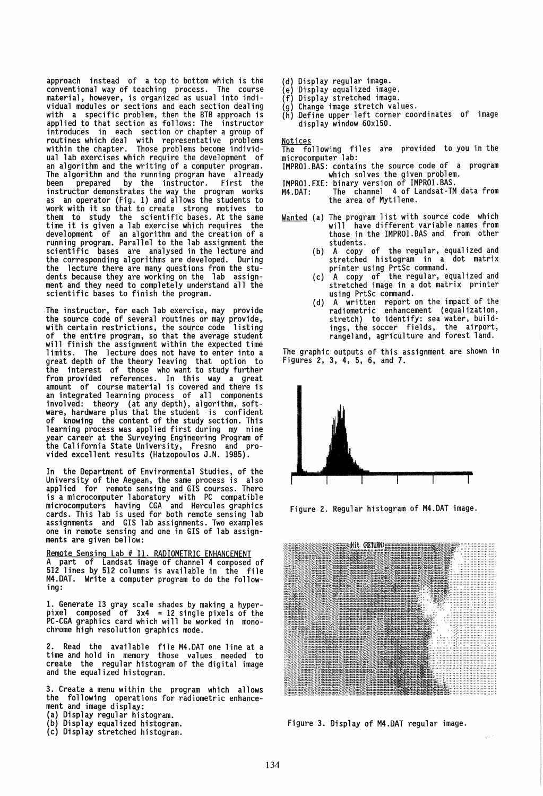approach instead of a top to bottom which is the conventional way of teaching process. The course material, however, is organized as usual into indi-<br>vidual modules or sections and each section dealing vidual modules or sections and each section dealing with a specific problem, then the BTB approach is applied to that section as follows: The instructor introduces in each section or chapter a group of routines which deal with representative problems within the chapter. Those problems become individual lab exercises which require the development of<br>an algorithm and the writing of a computer program. an algorithm and the writing of a computer program.<br>The algorithm and the running program have already been prepared by the instructor. First the instructor demonstrates the way the program works as an operator (Fig. 1) and allows the students to work with it so that to create strong motives to them to study the scientific bases. At the same time it is given a lab exercise which requires the development of an algorithm and the creation of a running program. Parallel to the lab assignment the scientific bases are analysed in the lecture and the corresponding algorithms are developed. During the lecture there are many questions from the students because they are working on the lab assignment and they need to completely understand all the scientific bases to finish the program.

.The instructor, for each lab exercise, may provide the source code of several routines or may provide, with certain restrictions, the source code listing of the entire program, so that the average student will finish the assignment within the expected time limits. The lecture does not have to enter into a great depth of the theory leaving that option to the interest of those who want to study further from provided references. In this way a great amount of course material is covered and there is an integrated learning process of all components<br>involved: theory (at any depth), algorithm, software, hardware plus that the student is confident of knowing the content of the study section. This learning process was applied first during my nine year career at the Surveying Engineering Program of the California State University, Fresno and pro- vided excellent results (Hatzopoulos J.N. 1985).

In the Department of Environmental Studies, of the University of the Aegean, the same process is also applied for remote sensing and GIS courses. There is a microcomputer laboratory with PC compatible microcomputers having CGA and Hercules graphics cards. This lab is used for both remote sensing lab assignments and GIS lab assignments. Two examples one in remote sensing and one in GIS of lab assignments are given bellow:

Remote Sensing Lab # 11. RADIOMETRIC ENHANCEMENT A part of Landsat image of channel 4 composed of 512 lines by 512 columns is available in the file M4.DAT. Write a computer program to do the following:

1. Generate 13 gray scale shades by making a hyper- pixel composed of 3x4 = 12 Single pixels of the PC-CGA graphics card which w:ill be worked in monochrome high resolution graphics mode.

2. Read the available file M4.DAT one line at a time and hold in memory those values needed to create the regular histogram of the digital image and the equalized histogram.

3. Create a menu within the program which allows the following operations for radiometric enhancement and image display:<br>(a) Display regular histogram.<br>(b) Display equalized histogram.<br>(c) Display stretched histogram.

- 
- 
- 
- 
- (d) Display regular image.<br>(e) Display equalized image.<br>(f) Display stretched image.<br>(g) Change image stretch values.
	-
- (h) Define upper left corner coordinates of image display window 60xI50.

<u>Notices</u><br>The following files are provided toʻyou-in-the microcomputer lab:<br>IMPRO1.BAS: contains the source code of a program

- IMPROI.BAS: contains the source code of a program which solves the given problem. IMPROI.EXE: binary version of IMPROI.BAS.
- 
- M4.DAT: The channel 4 of Landsat-TM data from the area of Mytilene.

Wanted (a) The program list with source code which will have different variable names from those in the IMPROI.BAS and from other students.

- (b) A copy of the regular, equalized and stretched histogram in a dot matrix printer using PrtSc command.
- (c) A copy of the regular, equalized and stretched image in a dot matrix printer using PrtSc command.
- (d) A written report on the impact of the<br>radiometric enhancement (equalization, stretch) to identify: sea water, build-<br>ings, the soccer fields, the airport, rangeland, agriculture and forest land.

The graphic outputs of this assignment are shown in Figures 2, 3, 4, 5, 6, and 7.



Figure 2. Regular histogram of M4.DAT image.



Figure 3. Display of M4.DAT regular image.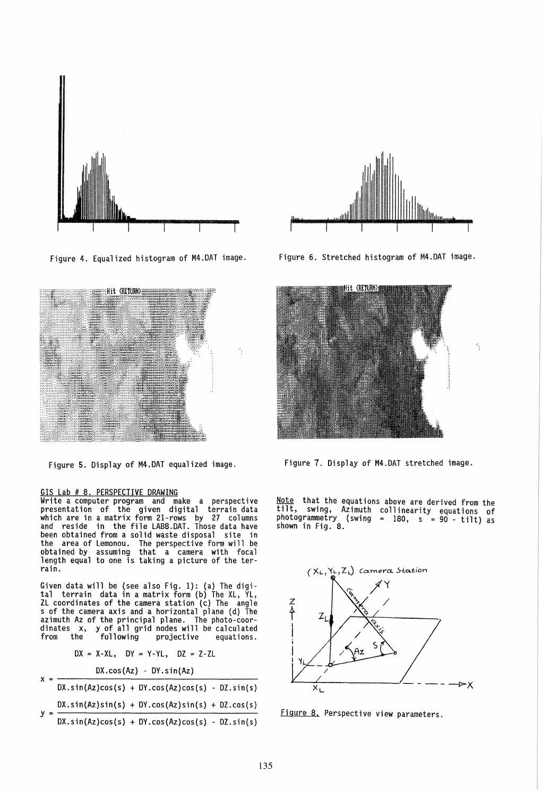

Figure 4. Equalized histogram of M4.DAT image.



Figure 5. Display of M4.DAT equalized image.

# GIS Lab # *B.* PERSPECTIVE DRAWING

Write a computer program and make a perspective presentation of the given digital terrain data which are in a matrix form 21-rows by 27 columns and reside in the file LABB.DAT. Those data have been obtained from a solid waste disposal site in the area of Lemonou. The perspective form will be obtained by assuming that a camera with focal length equal to one is taking a picture of the terrain.

Given data will be (see also Fig. 1): (a) The digi-<br>tal terrain data in a matrix form (b) The XL, YL, ZL coordinates of the camera station (c) The angle s of the camera axis and a horizontal plane (d) The azimuth Az of the principal plane. The photo-coor-<br>dinates x, y of all grid nodes will be calculated from the following projective equations.

$$
DX = X-XL, DY = Y-YL, DZ = Z-ZL
$$

|  | $DX.cos(Az) - DY.sin(Az)$ |  |                                                          |  |  |
|--|---------------------------|--|----------------------------------------------------------|--|--|
|  |                           |  | $DX \sin(Az) \cos(s) + DY \cos(Az) \cos(s) - DZ \sin(s)$ |  |  |
|  |                           |  | $DX \sin(Az) \sin(s) + DY \cos(Az) \sin(s) + DZ \cos(s)$ |  |  |
|  |                           |  | $DX.sin(Az)cos(s) + DY.cos(Az)cos(s) - DZ.sin(s)$        |  |  |



Figure 6. Stretched histogram of M4.DAT image.



Figure 7. Display of M4.DAT stretched image.

Note that the equations above are derived from the tilt, swing, Azimuth collinearity equations of photogrammetry (swing = *lBO,* s = 90 - tilt) as shown in Fig. *B.* 



Figure *B.* Perspective view parameters.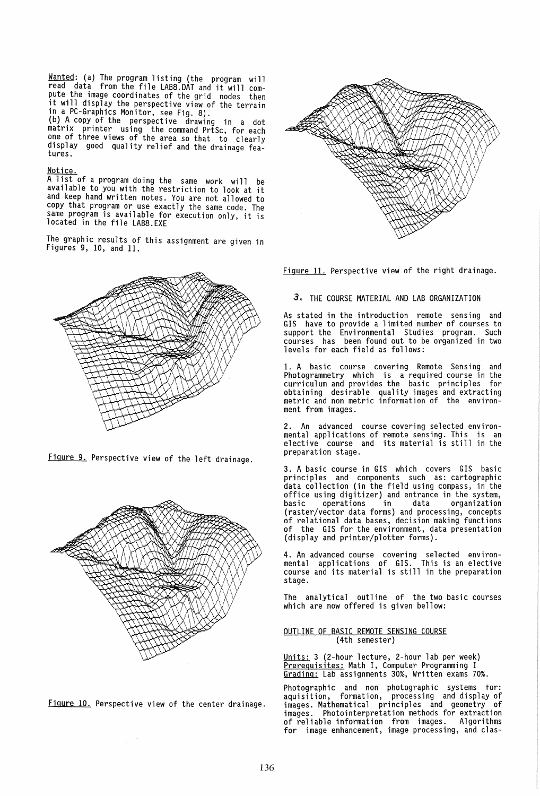Wanted: (a) The program listing (the program will read data from the file LABB.DAT and it will com pute the image coordinates of the grid nodes then<br>it will display the perspective view of the terrain in a PC-Graphics Monitor, see Fig. *B).*  (b) A copy of the perspective drawing in a dot

matrix printer using the command PrtSc, for each one of three views of the area so that to clearly display good quality relief and the drainage features.

#### <u>Notice.</u>

A list of a program doing the same work will be available to you with the restriction to look at it and keep hand written notes. You are not allowed to copy that program or use exactly the same code. The same program is available for execution only, it is located in the file LAB8.EXE

The graphic results of this assignment are given in Figures 9, 10, and 11.



Figure 9. Perspective view of the left drainage.



Figure 10. Perspective view of the center drainage.

 $\bar{\mathcal{A}}$ 



Figure 11. Perspective view of the right drainage.

## 3. THE COURSE MATERIAL AND LAB ORGANIZATION

As stated in the introduction remote sensing and GIS have to provide a limited number of courses to support the Environmental Studies program. Such courses has been found out to be organized in two levels for each field as follows:

1. A basic course covering Remote Sensing and Photogrammetry which is a required course in the curriculum and provides the basic principles for obtaining desirable quality images and extracting metric and non metric information of the environment from images.

2. An advanced course covering selected environmental applications of remote sensing. This is an elective course and its material is still in the preparation stage.

3. A basic course in GIS which covers GIS basic principles and components such as: cartographic data collection (in the field using compass, in the office using digitizer) and entrance in the system,<br>basic operations in data organization basic operations in data organization<br>(raster/vector data forms) and processing, concepts<br>of relational data bases, decision making functions of the GIS for the environment, data presentation (display and printer/plotter forms).

4. An advanced course covering selected environmental applications of GIS. This is an elective course and its material is still in the preparation stage.

The analytical outline of the two basic courses which are now offered is given bellow:

#### OUTLINE OF BASIC REMOTE SENSING COURSE (4th semester)

Units: 3 (2-hour lecture, 2-hour lab per week) Prerequisites: Math I, Computer Programming I Grading: Lab assignments 30%, Written exams 70%.

Photographic and non photographic systems tor: aquisition, formation, processing and display of images. Mathematical principles and geometry of images. Photointerpretation methods for extraction for image enhancement, image processing, and clas-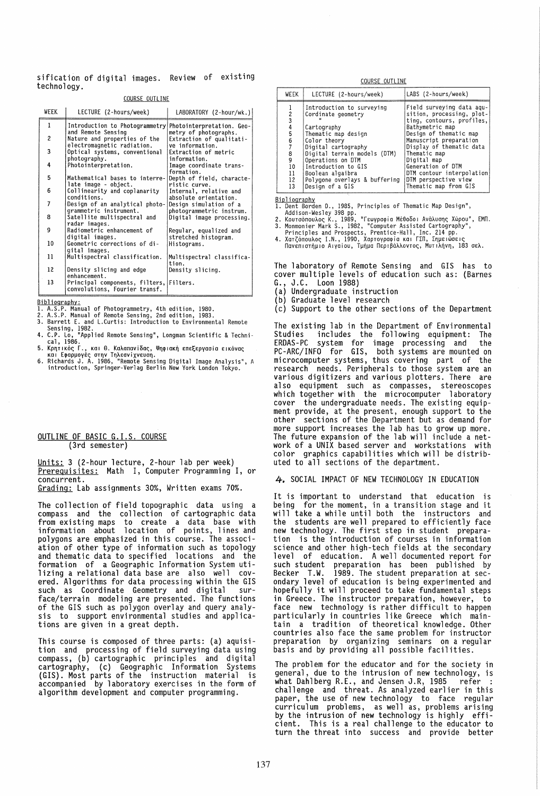sification of digital images. Review of existing technology.

COURSE OUTLINE

| WEEK | LECTURE (2-hours/week)                                                                   | LABORATORY (2-hour/wk.)                                              |
|------|------------------------------------------------------------------------------------------|----------------------------------------------------------------------|
| 1    | Introduction to Photogrammetry                                                           | Photointerpretation. Geo-                                            |
| 2    | and Remote Sensing<br>Nature and properties of the<br>electromagnetic radiation.         | metry of photographs.<br>Extraction of qualitati-<br>ve information. |
| 3    | Optical systems, conventional                                                            | Extraction of metric                                                 |
| 4    | photography.<br>Photointerpretation.                                                     | information.<br>Image coordinate trans-<br>formation.                |
| 5    | Mathematical bases to interre-<br>late image - object.                                   | Depth of field, characte-<br>ristic curve.                           |
| 6    | Collinearity and coplanarity<br>conditions.                                              | Internal, relative and                                               |
| 7    | Design of an analytical photo-                                                           | absolute orientation.<br>Design simulation of a                      |
| 8    | grammetric instrument.<br>Satellite multispectral and<br>radar images.                   | photogrammetric instrum.<br>Digital image processing.                |
| 9    | Radiometric enhancement of                                                               | Regular, equalized and                                               |
| 10   | digital images.<br>Geometric corrections of di-                                          | stretched histogram.<br>Histograms.                                  |
| 11   | gital images.<br>Multispectral classification.                                           | Multispectral classifica-<br>tion.                                   |
| 12   | Density slicing and edge                                                                 | Density slicing.                                                     |
| 13   | enhancement.<br>Principal components, filters, Filters.<br>convolutions, Fourier transf. |                                                                      |

Bibliography:

- overlogianty.<br>1. A.S.P. Manual of Photogrammetry, 4th edition, 1980.<br>2. A.S.P. Manual of Remote Sensing, 2nd edition, 1983.<br>3. Barrett E. and L.Curtis: Introduction to Environmental Remote
- 
- 
- 
- 3. Barrett L. and L.Curtis: Introduction to Environmental Remote<br>
Sensing, 1982<br>
4. C.P. Lo, "Applied Remote Sensing", Longman Scientific & Techni-<br>
cal, 1986.<br>
5. Κρητικός Γ., και θ. Καλαπανίδας, Ψηφιακή επεξεργασία εικό
- 

#### OUTLINE OF BASIC G.I.S. COURSE (3rd semester)

Units: 3 (2-hour lecture, 2-hour lab per week)<br>Prerequisites: Math I, Computer Programming I, or concurrent. Grading: Lab assignments 30%, Written exams 70%.

The collection of field topographic data using a compass and the collection of cartographic data<br>from existing maps to create a data base with<br>information about location of points, lines and<br>polygons are emphasized in this course. The association of other type of information such as topology and thematic data to specified locations and the formation of a Geographic Information System utilizing a relational data base are also well covered. Algorithms for data processing within the GIS<br>such as Coordinate Geometry and digital sur-<br>face/terrain modeling are presented. The functions of the GIS such as polygon overlay and query analysis to support environmental studies and applications are given in a great depth.

This course is composed of three parts: (a) aquisition and processing of field surveying data using compass, (b) cartographic principles and digital cartography, (c) Geographic Information Systems<br>(GIS). Most parts of the instruction material is<br>accompanied by laboratory exercises in the form of algorithm development and computer programming.

COURSE OUTLINE

| WEEK                                          | LECTURE (2-hours/week)                                                                                                                                                                                                                                                           | LABS (2-hours/week)                                                                                                                                                                                                                                                                                                      |
|-----------------------------------------------|----------------------------------------------------------------------------------------------------------------------------------------------------------------------------------------------------------------------------------------------------------------------------------|--------------------------------------------------------------------------------------------------------------------------------------------------------------------------------------------------------------------------------------------------------------------------------------------------------------------------|
| 4<br>5<br>6<br>8<br>9<br>10<br>11<br>12<br>13 | Introduction to surveying<br>Cordinate geometry<br>Cartography<br>Thematic map design<br>Color theory<br>Digital cartography<br>Digital terrain models (DTM)<br>Operations on DTM<br>Introduction to GIS<br>Boolean algaibra<br>Polygone overlays & buffering<br>Design of a GIS | Field surveying data aqu-<br>sition, processing, plot-<br>ting, contours, profiles,<br>Bathymetric map<br>Design of thematic map<br>Manuscript preparation<br>Display of thematic data<br>Thematic map<br>Digital map<br>Generation of DTM<br>DTM contour interpolation<br>DTM perspective view<br>Thematic map from GIS |

Bipliography

- 
- Bipliography<br>1. Dent Borden D., 1985, Principles of Thematic Map Design",<br>2. Κουτσόπουλος Κ., 1989, "Γεωγραφία Μέθοδοι Ανάλυσης Χώρου", ΕΜΠ.<br>3. Monmonier Mark S., 1982, "Computer Assisted Cartography",<br>3. Monmonier Mark S
- 

The laboratory of Remote Sensing and GIS has to<br>cover multiple levels of education such as: (Barnes G., J.C. Loon 1988)

- (a) Undergraduate instruction
- (b) Graduate level research
- (c) Support to the other sections of the Department

The existing lab in the Department of Environmental Studies includes the following equipment: The<br>ERDAS-PC system for image processing and the<br>PC-ARC/INFO for GIS, both systems are mounted on<br>microcomputer systems, thus covering part of the research needs. Peripherals to those system are an various digitizers and various plotters. There are also equipment such as compasses, stereoscopes<br>which together with the microcomputer laboratory cover the undergraduate needs. The existing equipment provide, at the present, enough support to the other sections of the Department but as demand for more support increases the lab has to grow up more. The future expansion of the lab will include a network of a UNIX based server and workstations with color graphics capabilities which will be distributed to all sections of the department.

4. SOCIAL IMPACT OF NEW TECHNOLOGY IN EDUCATION

It is important to understand that education is being for the moment, in a transition stage and it<br>will take a while until both the instructors and the students are well prepared to efficiently face new technology. The first step in student preparation is the introduction of courses in information science and other high-tech fields at the secondary<br>level of education. A well documented report for such student preparation has been published by T.W. 1989. The student preparation at sec-Becker ondary level of education is being experimented and hopefully it will proceed to take fundamental steps in Greece. The instructor preparation, however, to face new technology is rather difficult to happen particularly in countries like Greece which maintain a tradition of theoretical knowledge. Other countries also face the same problem for instructor preparation by organizing seminars on a regular basis and by providing all possible facilities.

The problem for the educator and for the society in general, due to the intrusion of new technology, is what Dahlberg R.E., and Jensen J.R, 1985 refer challenge and threat. As analyzed earlier in this paper, the use of new technology to face regular curriculum problems, as well as, problems arising<br>by the intrusion of new technology is highly effi-This is a real challenge to the educator to cient. turn the threat into success and provide better